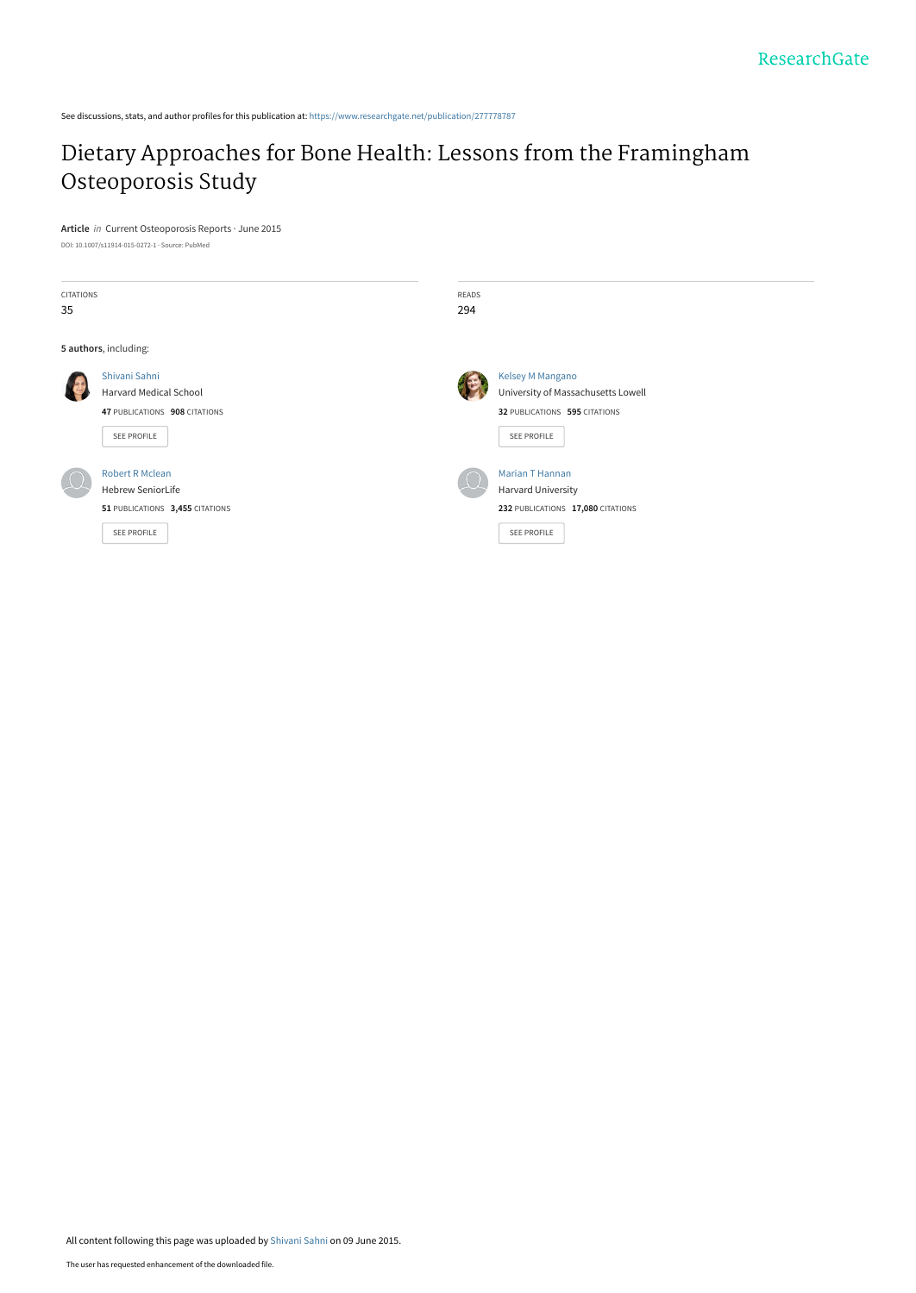See discussions, stats, and author profiles for this publication at: [https://www.researchgate.net/publication/277778787](https://www.researchgate.net/publication/277778787_Dietary_Approaches_for_Bone_Health_Lessons_from_the_Framingham_Osteoporosis_Study?enrichId=rgreq-509ac430bc41fe841174d511a6ce6087-XXX&enrichSource=Y292ZXJQYWdlOzI3Nzc3ODc4NztBUzoyMzg0NDgxNTM5ODUwMjdAMTQzMzg2MTg3ODY1OQ%3D%3D&el=1_x_2&_esc=publicationCoverPdf)

# [Dietary Approaches for Bone Health: Lessons from the Framingham](https://www.researchgate.net/publication/277778787_Dietary_Approaches_for_Bone_Health_Lessons_from_the_Framingham_Osteoporosis_Study?enrichId=rgreq-509ac430bc41fe841174d511a6ce6087-XXX&enrichSource=Y292ZXJQYWdlOzI3Nzc3ODc4NztBUzoyMzg0NDgxNTM5ODUwMjdAMTQzMzg2MTg3ODY1OQ%3D%3D&el=1_x_3&_esc=publicationCoverPdf) Osteoporosis Study

**Article** in Current Osteoporosis Reports · June 2015

| DOI: 10.1007/s11914-015-0272-1 · Source: PubMed |  |
|-------------------------------------------------|--|
|-------------------------------------------------|--|

| <b>CITATIONS</b> |                                 | READS |                                    |
|------------------|---------------------------------|-------|------------------------------------|
| 35               |                                 | 294   |                                    |
|                  | 5 authors, including:           |       |                                    |
|                  | Shivani Sahni                   |       | Kelsey M Mangano                   |
|                  | Harvard Medical School          |       | University of Massachusetts Lowell |
|                  | 47 PUBLICATIONS 908 CITATIONS   |       | 32 PUBLICATIONS 595 CITATIONS      |
|                  | SEE PROFILE                     |       | SEE PROFILE                        |
|                  | <b>Robert R Mclean</b>          |       | <b>Marian T Hannan</b>             |
|                  | <b>Hebrew SeniorLife</b>        |       | <b>Harvard University</b>          |
|                  | 51 PUBLICATIONS 3,455 CITATIONS |       | 232 PUBLICATIONS 17,080 CITATIONS  |
|                  | SEE PROFILE                     |       | SEE PROFILE                        |
|                  |                                 |       |                                    |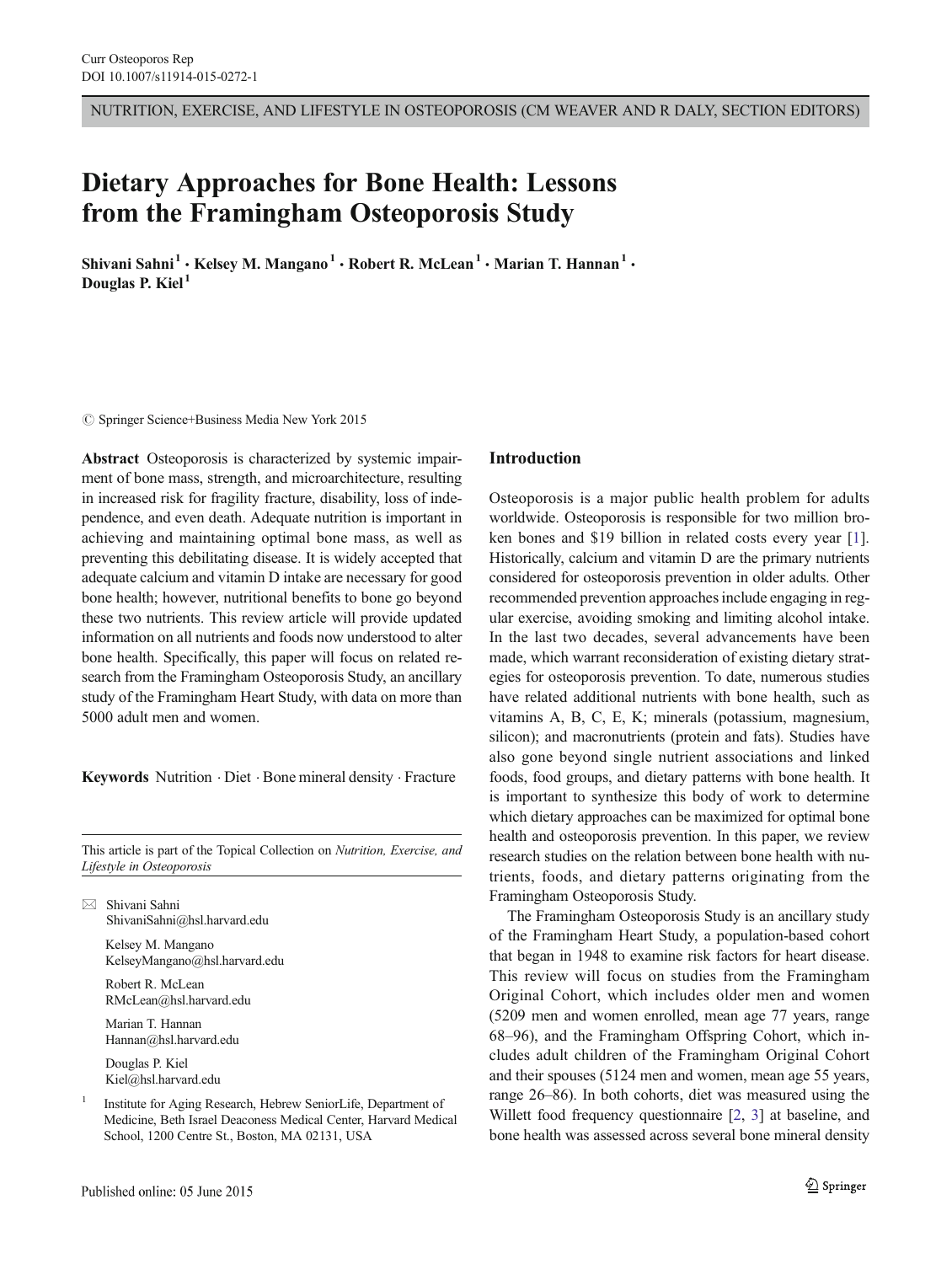NUTRITION, EXERCISE, AND LIFESTYLE IN OSTEOPOROSIS (CM WEAVER AND R DALY, SECTION EDITORS)

# Dietary Approaches for Bone Health: Lessons from the Framingham Osteoporosis Study

Shivani Sahni<sup>1</sup> • Kelsey M. Mangano<sup>1</sup> • Robert R. McLean<sup>1</sup> • Marian T. Hannan<sup>1</sup> • Douglas P. Kiel<sup>1</sup>

 $\circ$  Springer Science+Business Media New York 2015

Abstract Osteoporosis is characterized by systemic impairment of bone mass, strength, and microarchitecture, resulting in increased risk for fragility fracture, disability, loss of independence, and even death. Adequate nutrition is important in achieving and maintaining optimal bone mass, as well as preventing this debilitating disease. It is widely accepted that adequate calcium and vitamin D intake are necessary for good bone health; however, nutritional benefits to bone go beyond these two nutrients. This review article will provide updated information on all nutrients and foods now understood to alter bone health. Specifically, this paper will focus on related research from the Framingham Osteoporosis Study, an ancillary study of the Framingham Heart Study, with data on more than 5000 adult men and women.

Keywords Nutrition . Diet . Bone mineral density . Fracture

This article is part of the Topical Collection on Nutrition, Exercise, and Lifestyle in Osteoporosis

 $\boxtimes$  Shivani Sahni ShivaniSahni@hsl.harvard.edu

> Kelsey M. Mangano KelseyMangano@hsl.harvard.edu

Robert R. McLean RMcLean@hsl.harvard.edu

Marian T. Hannan Hannan@hsl.harvard.edu

Douglas P. Kiel Kiel@hsl.harvard.edu

<sup>1</sup> Institute for Aging Research, Hebrew SeniorLife, Department of Medicine, Beth Israel Deaconess Medical Center, Harvard Medical School, 1200 Centre St., Boston, MA 02131, USA

#### Introduction

Osteoporosis is a major public health problem for adults worldwide. Osteoporosis is responsible for two million broken bones and \$19 billion in related costs every year [[1\]](#page-7-0). Historically, calcium and vitamin D are the primary nutrients considered for osteoporosis prevention in older adults. Other recommended prevention approaches include engaging in regular exercise, avoiding smoking and limiting alcohol intake. In the last two decades, several advancements have been made, which warrant reconsideration of existing dietary strategies for osteoporosis prevention. To date, numerous studies have related additional nutrients with bone health, such as vitamins A, B, C, E, K; minerals (potassium, magnesium, silicon); and macronutrients (protein and fats). Studies have also gone beyond single nutrient associations and linked foods, food groups, and dietary patterns with bone health. It is important to synthesize this body of work to determine which dietary approaches can be maximized for optimal bone health and osteoporosis prevention. In this paper, we review research studies on the relation between bone health with nutrients, foods, and dietary patterns originating from the Framingham Osteoporosis Study.

The Framingham Osteoporosis Study is an ancillary study of the Framingham Heart Study, a population-based cohort that began in 1948 to examine risk factors for heart disease. This review will focus on studies from the Framingham Original Cohort, which includes older men and women (5209 men and women enrolled, mean age 77 years, range 68–96), and the Framingham Offspring Cohort, which includes adult children of the Framingham Original Cohort and their spouses (5124 men and women, mean age 55 years, range 26–86). In both cohorts, diet was measured using the Willett food frequency questionnaire [\[2,](#page-7-0) [3\]](#page-7-0) at baseline, and bone health was assessed across several bone mineral density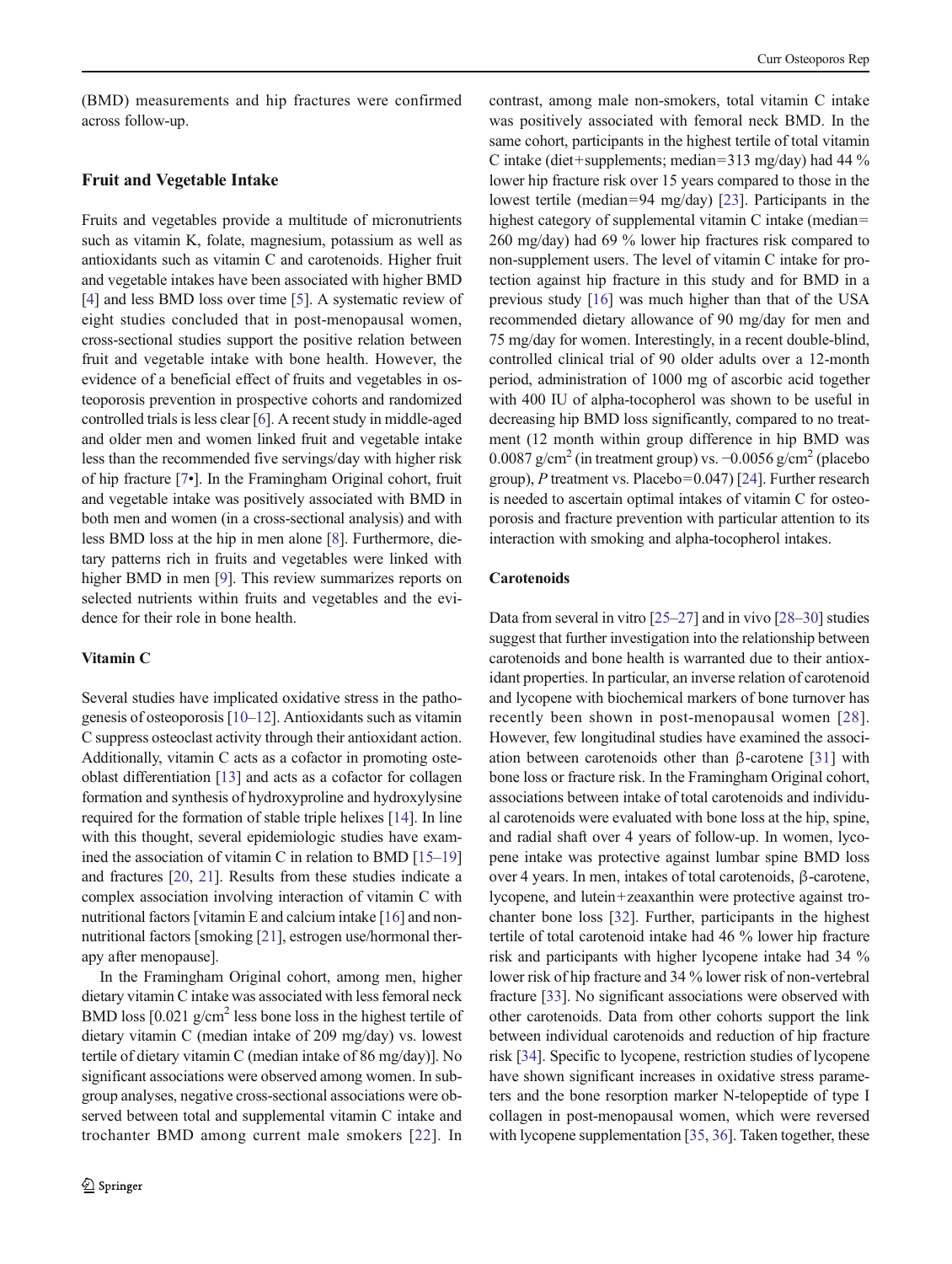(BMD) measurements and hip fractures were confirmed across follow-up.

## Fruit and Vegetable Intake

Fruits and vegetables provide a multitude of micronutrients such as vitamin K, folate, magnesium, potassium as well as antioxidants such as vitamin C and carotenoids. Higher fruit and vegetable intakes have been associated with higher BMD [\[4](#page-7-0)] and less BMD loss over time [\[5](#page-7-0)]. A systematic review of eight studies concluded that in post-menopausal women, cross-sectional studies support the positive relation between fruit and vegetable intake with bone health. However, the evidence of a beneficial effect of fruits and vegetables in osteoporosis prevention in prospective cohorts and randomized controlled trials is less clear [\[6](#page-7-0)]. A recent study in middle-aged and older men and women linked fruit and vegetable intake less than the recommended five servings/day with higher risk of hip fracture [\[7](#page-7-0)•]. In the Framingham Original cohort, fruit and vegetable intake was positively associated with BMD in both men and women (in a cross-sectional analysis) and with less BMD loss at the hip in men alone [\[8](#page-8-0)]. Furthermore, dietary patterns rich in fruits and vegetables were linked with higher BMD in men [[9](#page-8-0)]. This review summarizes reports on selected nutrients within fruits and vegetables and the evidence for their role in bone health.

## Vitamin C

Several studies have implicated oxidative stress in the pathogenesis of osteoporosis [\[10](#page-8-0)–[12\]](#page-8-0). Antioxidants such as vitamin C suppress osteoclast activity through their antioxidant action. Additionally, vitamin C acts as a cofactor in promoting osteoblast differentiation [\[13\]](#page-8-0) and acts as a cofactor for collagen formation and synthesis of hydroxyproline and hydroxylysine required for the formation of stable triple helixes [\[14\]](#page-8-0). In line with this thought, several epidemiologic studies have examined the association of vitamin C in relation to BMD [\[15](#page-8-0)–[19\]](#page-8-0) and fractures [[20](#page-8-0), [21](#page-8-0)]. Results from these studies indicate a complex association involving interaction of vitamin C with nutritional factors [vitamin E and calcium intake [\[16](#page-8-0)] and nonnutritional factors [smoking [[21](#page-8-0)], estrogen use/hormonal therapy after menopause].

In the Framingham Original cohort, among men, higher dietary vitamin C intake was associated with less femoral neck BMD loss [0.021 g/cm<sup>2</sup> less bone loss in the highest tertile of dietary vitamin C (median intake of 209 mg/day) vs. lowest tertile of dietary vitamin C (median intake of 86 mg/day)]. No significant associations were observed among women. In subgroup analyses, negative cross-sectional associations were observed between total and supplemental vitamin C intake and trochanter BMD among current male smokers [[22](#page-8-0)]. In

contrast, among male non-smokers, total vitamin C intake was positively associated with femoral neck BMD. In the same cohort, participants in the highest tertile of total vitamin C intake (diet+supplements; median=313 mg/day) had 44 % lower hip fracture risk over 15 years compared to those in the lowest tertile (median=94 mg/day) [[23\]](#page-8-0). Participants in the highest category of supplemental vitamin C intake (median= 260 mg/day) had 69 % lower hip fractures risk compared to non-supplement users. The level of vitamin C intake for protection against hip fracture in this study and for BMD in a previous study [[16\]](#page-8-0) was much higher than that of the USA recommended dietary allowance of 90 mg/day for men and 75 mg/day for women. Interestingly, in a recent double-blind, controlled clinical trial of 90 older adults over a 12-month period, administration of 1000 mg of ascorbic acid together with 400 IU of alpha-tocopherol was shown to be useful in decreasing hip BMD loss significantly, compared to no treatment (12 month within group difference in hip BMD was 0.0087 g/cm<sup>2</sup> (in treatment group) vs.  $-0.0056$  g/cm<sup>2</sup> (placebo group), P treatment vs. Placebo=0.047) [\[24](#page-8-0)]. Further research is needed to ascertain optimal intakes of vitamin C for osteoporosis and fracture prevention with particular attention to its interaction with smoking and alpha-tocopherol intakes.

## **Carotenoids**

Data from several in vitro [[25](#page-8-0)–[27](#page-8-0)] and in vivo [[28](#page-8-0)–[30](#page-8-0)] studies suggest that further investigation into the relationship between carotenoids and bone health is warranted due to their antioxidant properties. In particular, an inverse relation of carotenoid and lycopene with biochemical markers of bone turnover has recently been shown in post-menopausal women [[28](#page-8-0)]. However, few longitudinal studies have examined the association between carotenoids other than β-carotene [[31\]](#page-8-0) with bone loss or fracture risk. In the Framingham Original cohort, associations between intake of total carotenoids and individual carotenoids were evaluated with bone loss at the hip, spine, and radial shaft over 4 years of follow-up. In women, lycopene intake was protective against lumbar spine BMD loss over 4 years. In men, intakes of total carotenoids, β-carotene, lycopene, and lutein+zeaxanthin were protective against trochanter bone loss [\[32](#page-8-0)]. Further, participants in the highest tertile of total carotenoid intake had 46 % lower hip fracture risk and participants with higher lycopene intake had 34 % lower risk of hip fracture and 34 % lower risk of non-vertebral fracture [[33\]](#page-8-0). No significant associations were observed with other carotenoids. Data from other cohorts support the link between individual carotenoids and reduction of hip fracture risk [\[34\]](#page-8-0). Specific to lycopene, restriction studies of lycopene have shown significant increases in oxidative stress parameters and the bone resorption marker N-telopeptide of type I collagen in post-menopausal women, which were reversed with lycopene supplementation [\[35](#page-8-0), [36](#page-8-0)]. Taken together, these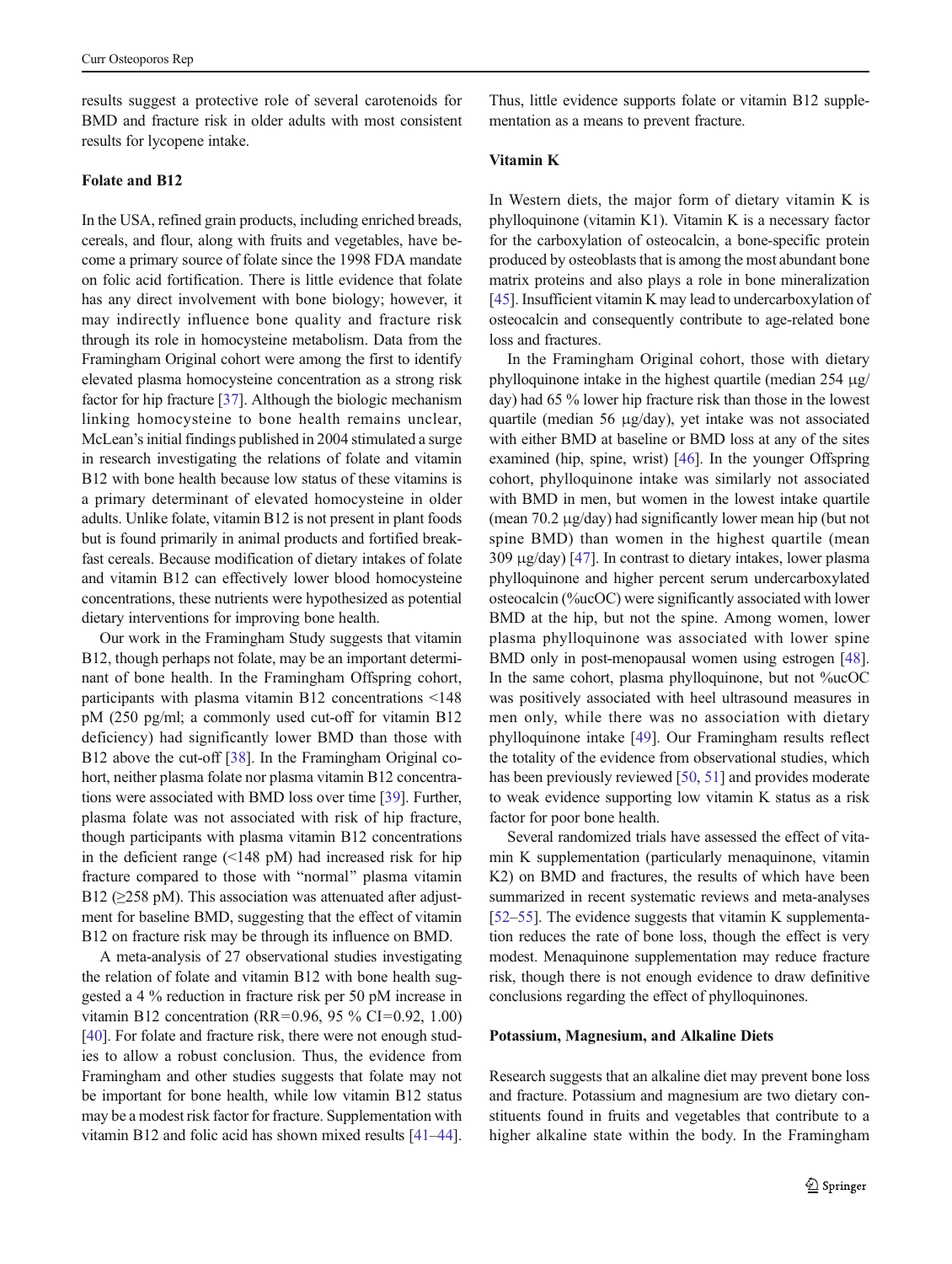results suggest a protective role of several carotenoids for BMD and fracture risk in older adults with most consistent results for lycopene intake.

## Folate and B12

In the USA, refined grain products, including enriched breads, cereals, and flour, along with fruits and vegetables, have become a primary source of folate since the 1998 FDA mandate on folic acid fortification. There is little evidence that folate has any direct involvement with bone biology; however, it may indirectly influence bone quality and fracture risk through its role in homocysteine metabolism. Data from the Framingham Original cohort were among the first to identify elevated plasma homocysteine concentration as a strong risk factor for hip fracture [[37](#page-8-0)]. Although the biologic mechanism linking homocysteine to bone health remains unclear, McLean's initial findings published in 2004 stimulated a surge in research investigating the relations of folate and vitamin B12 with bone health because low status of these vitamins is a primary determinant of elevated homocysteine in older adults. Unlike folate, vitamin B12 is not present in plant foods but is found primarily in animal products and fortified breakfast cereals. Because modification of dietary intakes of folate and vitamin B12 can effectively lower blood homocysteine concentrations, these nutrients were hypothesized as potential dietary interventions for improving bone health.

Our work in the Framingham Study suggests that vitamin B12, though perhaps not folate, may be an important determinant of bone health. In the Framingham Offspring cohort, participants with plasma vitamin B12 concentrations <148 pM (250 pg/ml; a commonly used cut-off for vitamin B12 deficiency) had significantly lower BMD than those with B12 above the cut-off [\[38\]](#page-8-0). In the Framingham Original cohort, neither plasma folate nor plasma vitamin B12 concentrations were associated with BMD loss over time [[39\]](#page-8-0). Further, plasma folate was not associated with risk of hip fracture, though participants with plasma vitamin B12 concentrations in the deficient range  $(\leq 148 \text{ pM})$  had increased risk for hip fracture compared to those with "normal" plasma vitamin B12 ( $\geq$ 258 pM). This association was attenuated after adjustment for baseline BMD, suggesting that the effect of vitamin B12 on fracture risk may be through its influence on BMD.

A meta-analysis of 27 observational studies investigating the relation of folate and vitamin B12 with bone health suggested a 4 % reduction in fracture risk per 50 pM increase in vitamin B12 concentration (RR=0.96, 95 % CI=0.92, 1.00) [\[40\]](#page-8-0). For folate and fracture risk, there were not enough studies to allow a robust conclusion. Thus, the evidence from Framingham and other studies suggests that folate may not be important for bone health, while low vitamin B12 status may be a modest risk factor for fracture. Supplementation with vitamin B12 and folic acid has shown mixed results [\[41](#page-9-0)–[44\]](#page-9-0).

Thus, little evidence supports folate or vitamin B12 supplementation as a means to prevent fracture.

#### Vitamin K

In Western diets, the major form of dietary vitamin K is phylloquinone (vitamin K1). Vitamin K is a necessary factor for the carboxylation of osteocalcin, a bone-specific protein produced by osteoblasts that is among the most abundant bone matrix proteins and also plays a role in bone mineralization [\[45](#page-9-0)]. Insufficient vitamin K may lead to undercarboxylation of osteocalcin and consequently contribute to age-related bone loss and fractures.

In the Framingham Original cohort, those with dietary phylloquinone intake in the highest quartile (median 254 μg/ day) had 65 % lower hip fracture risk than those in the lowest quartile (median 56 μg/day), yet intake was not associated with either BMD at baseline or BMD loss at any of the sites examined (hip, spine, wrist) [[46\]](#page-9-0). In the younger Offspring cohort, phylloquinone intake was similarly not associated with BMD in men, but women in the lowest intake quartile (mean 70.2 μg/day) had significantly lower mean hip (but not spine BMD) than women in the highest quartile (mean 309 μg/day) [[47](#page-9-0)]. In contrast to dietary intakes, lower plasma phylloquinone and higher percent serum undercarboxylated osteocalcin (%ucOC) were significantly associated with lower BMD at the hip, but not the spine. Among women, lower plasma phylloquinone was associated with lower spine BMD only in post-menopausal women using estrogen [[48\]](#page-9-0). In the same cohort, plasma phylloquinone, but not %ucOC was positively associated with heel ultrasound measures in men only, while there was no association with dietary phylloquinone intake [[49\]](#page-9-0). Our Framingham results reflect the totality of the evidence from observational studies, which has been previously reviewed [\[50](#page-9-0), [51\]](#page-9-0) and provides moderate to weak evidence supporting low vitamin K status as a risk factor for poor bone health.

Several randomized trials have assessed the effect of vitamin K supplementation (particularly menaquinone, vitamin K2) on BMD and fractures, the results of which have been summarized in recent systematic reviews and meta-analyses [\[52](#page-9-0)–[55\]](#page-9-0). The evidence suggests that vitamin K supplementation reduces the rate of bone loss, though the effect is very modest. Menaquinone supplementation may reduce fracture risk, though there is not enough evidence to draw definitive conclusions regarding the effect of phylloquinones.

## Potassium, Magnesium, and Alkaline Diets

Research suggests that an alkaline diet may prevent bone loss and fracture. Potassium and magnesium are two dietary constituents found in fruits and vegetables that contribute to a higher alkaline state within the body. In the Framingham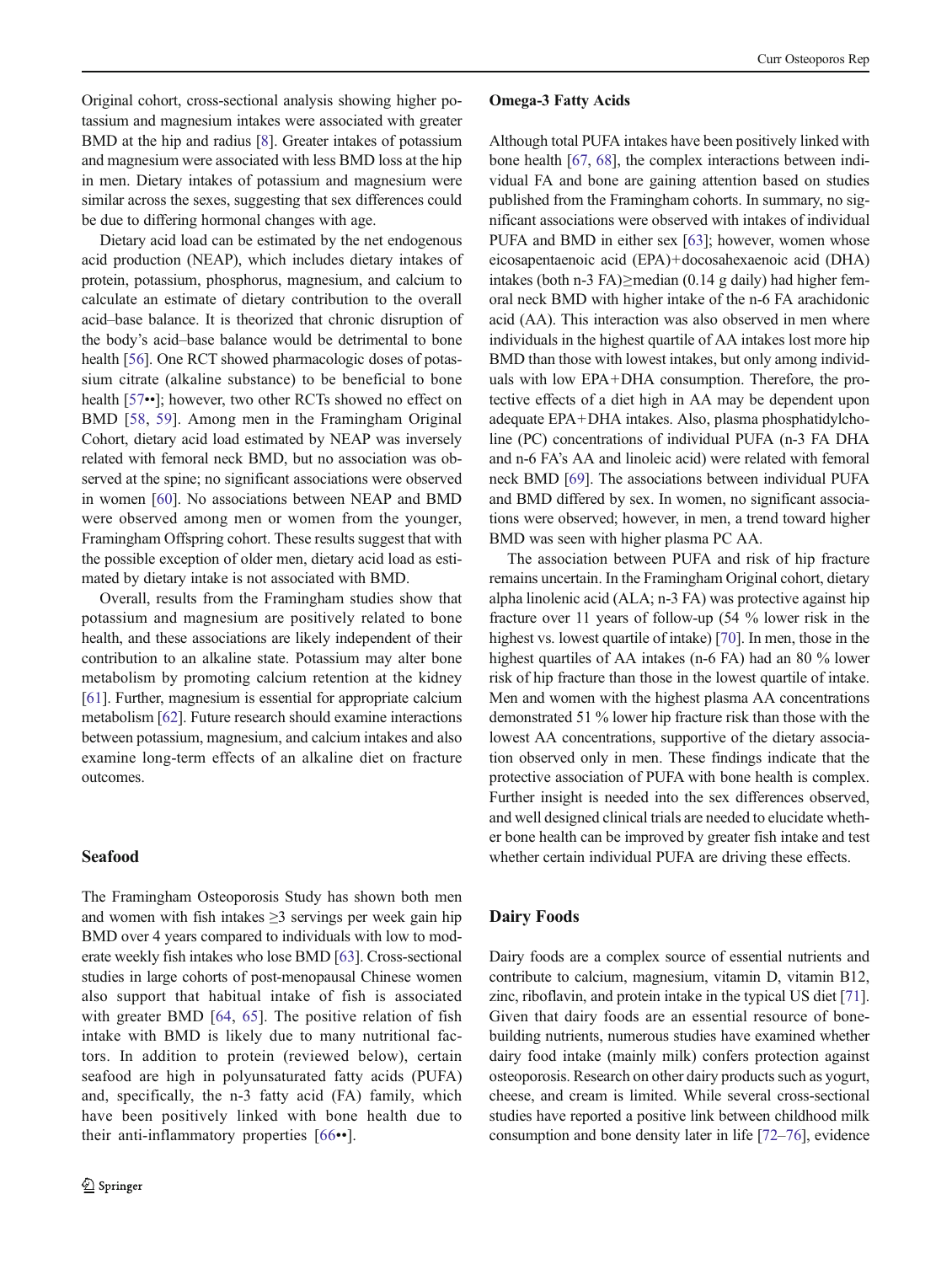Original cohort, cross-sectional analysis showing higher potassium and magnesium intakes were associated with greater BMD at the hip and radius [\[8](#page-8-0)]. Greater intakes of potassium and magnesium were associated with less BMD loss at the hip in men. Dietary intakes of potassium and magnesium were similar across the sexes, suggesting that sex differences could be due to differing hormonal changes with age.

Dietary acid load can be estimated by the net endogenous acid production (NEAP), which includes dietary intakes of protein, potassium, phosphorus, magnesium, and calcium to calculate an estimate of dietary contribution to the overall acid–base balance. It is theorized that chronic disruption of the body's acid–base balance would be detrimental to bone health [\[56](#page-9-0)]. One RCT showed pharmacologic doses of potassium citrate (alkaline substance) to be beneficial to bone health [[57](#page-9-0)••]; however, two other RCTs showed no effect on BMD [[58](#page-9-0), [59\]](#page-9-0). Among men in the Framingham Original Cohort, dietary acid load estimated by NEAP was inversely related with femoral neck BMD, but no association was observed at the spine; no significant associations were observed in women [\[60\]](#page-9-0). No associations between NEAP and BMD were observed among men or women from the younger, Framingham Offspring cohort. These results suggest that with the possible exception of older men, dietary acid load as estimated by dietary intake is not associated with BMD.

Overall, results from the Framingham studies show that potassium and magnesium are positively related to bone health, and these associations are likely independent of their contribution to an alkaline state. Potassium may alter bone metabolism by promoting calcium retention at the kidney [\[61\]](#page-9-0). Further, magnesium is essential for appropriate calcium metabolism [[62](#page-9-0)]. Future research should examine interactions between potassium, magnesium, and calcium intakes and also examine long-term effects of an alkaline diet on fracture outcomes.

## Seafood

The Framingham Osteoporosis Study has shown both men and women with fish intakes  $\geq$ 3 servings per week gain hip BMD over 4 years compared to individuals with low to moderate weekly fish intakes who lose BMD [\[63](#page-9-0)]. Cross-sectional studies in large cohorts of post-menopausal Chinese women also support that habitual intake of fish is associated with greater BMD [[64](#page-9-0), [65\]](#page-9-0). The positive relation of fish intake with BMD is likely due to many nutritional factors. In addition to protein (reviewed below), certain seafood are high in polyunsaturated fatty acids (PUFA) and, specifically, the n-3 fatty acid (FA) family, which have been positively linked with bone health due to their anti-inflammatory properties [[66](#page-9-0)••].

#### Omega-3 Fatty Acids

Although total PUFA intakes have been positively linked with bone health [[67,](#page-9-0) [68\]](#page-9-0), the complex interactions between individual FA and bone are gaining attention based on studies published from the Framingham cohorts. In summary, no significant associations were observed with intakes of individual PUFA and BMD in either sex [\[63](#page-9-0)]; however, women whose eicosapentaenoic acid (EPA)+docosahexaenoic acid (DHA) intakes (both n-3 FA)≥median (0.14 g daily) had higher femoral neck BMD with higher intake of the n-6 FA arachidonic acid (AA). This interaction was also observed in men where individuals in the highest quartile of AA intakes lost more hip BMD than those with lowest intakes, but only among individuals with low EPA+DHA consumption. Therefore, the protective effects of a diet high in AA may be dependent upon adequate EPA+DHA intakes. Also, plasma phosphatidylcholine (PC) concentrations of individual PUFA (n-3 FA DHA and n-6 FA's AA and linoleic acid) were related with femoral neck BMD [\[69\]](#page-9-0). The associations between individual PUFA and BMD differed by sex. In women, no significant associations were observed; however, in men, a trend toward higher BMD was seen with higher plasma PC AA.

The association between PUFA and risk of hip fracture remains uncertain. In the Framingham Original cohort, dietary alpha linolenic acid (ALA; n-3 FA) was protective against hip fracture over 11 years of follow-up (54 % lower risk in the highest vs. lowest quartile of intake) [[70\]](#page-9-0). In men, those in the highest quartiles of AA intakes (n-6 FA) had an 80 % lower risk of hip fracture than those in the lowest quartile of intake. Men and women with the highest plasma AA concentrations demonstrated 51 % lower hip fracture risk than those with the lowest AA concentrations, supportive of the dietary association observed only in men. These findings indicate that the protective association of PUFA with bone health is complex. Further insight is needed into the sex differences observed, and well designed clinical trials are needed to elucidate whether bone health can be improved by greater fish intake and test whether certain individual PUFA are driving these effects.

#### Dairy Foods

Dairy foods are a complex source of essential nutrients and contribute to calcium, magnesium, vitamin D, vitamin B12, zinc, riboflavin, and protein intake in the typical US diet [[71\]](#page-9-0). Given that dairy foods are an essential resource of bonebuilding nutrients, numerous studies have examined whether dairy food intake (mainly milk) confers protection against osteoporosis. Research on other dairy products such as yogurt, cheese, and cream is limited. While several cross-sectional studies have reported a positive link between childhood milk consumption and bone density later in life [\[72](#page-9-0)–[76](#page-9-0)], evidence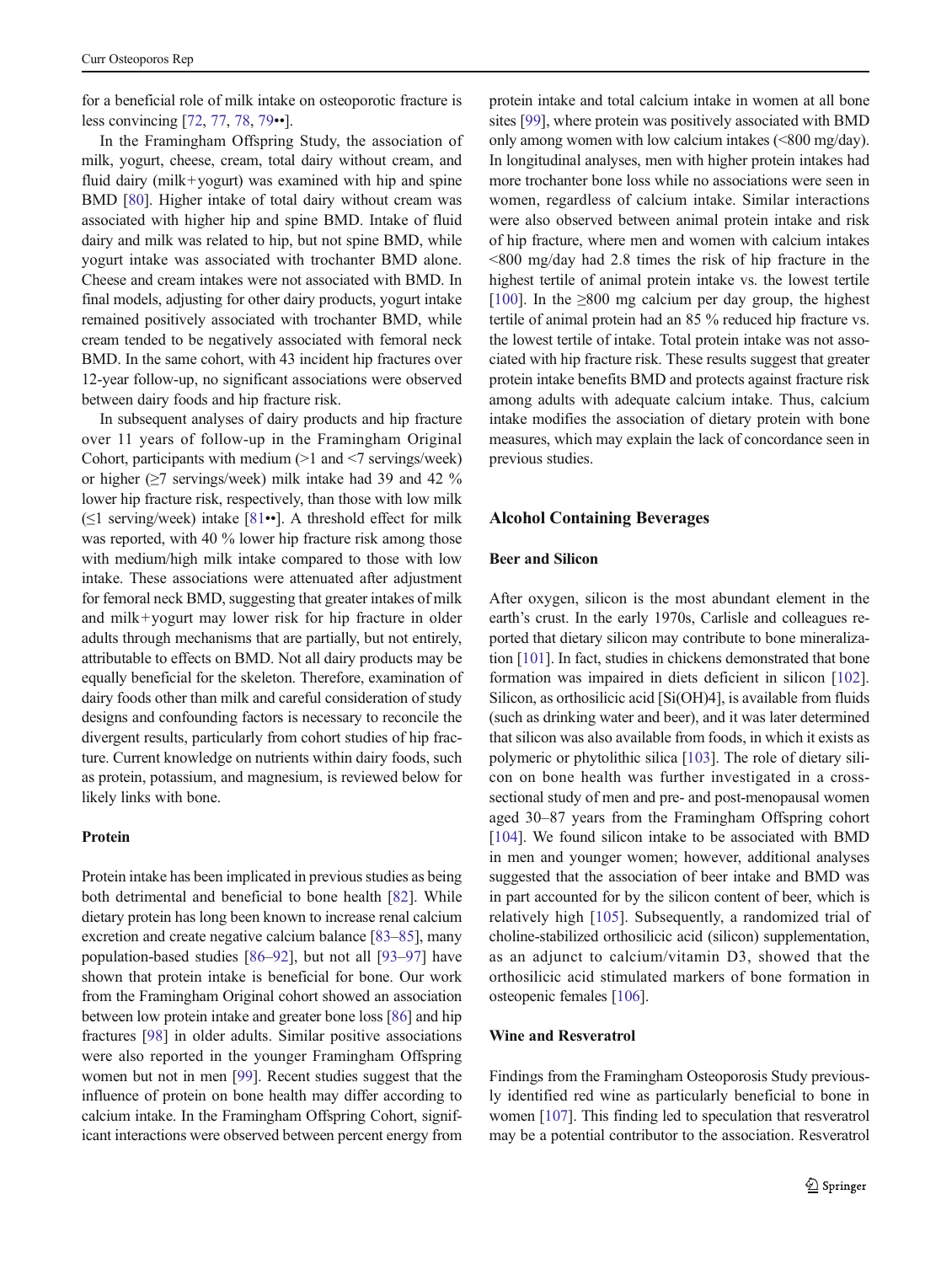for a beneficial role of milk intake on osteoporotic fracture is less convincing [\[72,](#page-9-0) [77,](#page-10-0) [78,](#page-10-0) [79](#page-10-0)••].

In the Framingham Offspring Study, the association of milk, yogurt, cheese, cream, total dairy without cream, and fluid dairy (milk+yogurt) was examined with hip and spine BMD [\[80](#page-10-0)]. Higher intake of total dairy without cream was associated with higher hip and spine BMD. Intake of fluid dairy and milk was related to hip, but not spine BMD, while yogurt intake was associated with trochanter BMD alone. Cheese and cream intakes were not associated with BMD. In final models, adjusting for other dairy products, yogurt intake remained positively associated with trochanter BMD, while cream tended to be negatively associated with femoral neck BMD. In the same cohort, with 43 incident hip fractures over 12-year follow-up, no significant associations were observed between dairy foods and hip fracture risk.

In subsequent analyses of dairy products and hip fracture over 11 years of follow-up in the Framingham Original Cohort, participants with medium  $(>1$  and  $< 7$  servings/week) or higher  $(\geq 7$  servings/week) milk intake had 39 and 42 % lower hip fracture risk, respectively, than those with low milk  $(\leq)$  serving/week) intake [\[81](#page-10-0)••]. A threshold effect for milk was reported, with 40 % lower hip fracture risk among those with medium/high milk intake compared to those with low intake. These associations were attenuated after adjustment for femoral neck BMD, suggesting that greater intakes of milk and milk+yogurt may lower risk for hip fracture in older adults through mechanisms that are partially, but not entirely, attributable to effects on BMD. Not all dairy products may be equally beneficial for the skeleton. Therefore, examination of dairy foods other than milk and careful consideration of study designs and confounding factors is necessary to reconcile the divergent results, particularly from cohort studies of hip fracture. Current knowledge on nutrients within dairy foods, such as protein, potassium, and magnesium, is reviewed below for likely links with bone.

## Protein

Protein intake has been implicated in previous studies as being both detrimental and beneficial to bone health [[82\]](#page-10-0). While dietary protein has long been known to increase renal calcium excretion and create negative calcium balance [[83](#page-10-0)–[85](#page-10-0)], many population-based studies [\[86](#page-10-0)–[92\]](#page-10-0), but not all [\[93](#page-10-0)–[97\]](#page-10-0) have shown that protein intake is beneficial for bone. Our work from the Framingham Original cohort showed an association between low protein intake and greater bone loss [\[86\]](#page-10-0) and hip fractures [\[98](#page-10-0)] in older adults. Similar positive associations were also reported in the younger Framingham Offspring women but not in men [\[99](#page-10-0)]. Recent studies suggest that the influence of protein on bone health may differ according to calcium intake. In the Framingham Offspring Cohort, significant interactions were observed between percent energy from

protein intake and total calcium intake in women at all bone sites [[99](#page-10-0)], where protein was positively associated with BMD only among women with low calcium intakes (<800 mg/day). In longitudinal analyses, men with higher protein intakes had more trochanter bone loss while no associations were seen in women, regardless of calcium intake. Similar interactions were also observed between animal protein intake and risk of hip fracture, where men and women with calcium intakes <800 mg/day had 2.8 times the risk of hip fracture in the highest tertile of animal protein intake vs. the lowest tertile [\[100](#page-10-0)]. In the  $\geq$ 800 mg calcium per day group, the highest tertile of animal protein had an 85 % reduced hip fracture vs. the lowest tertile of intake. Total protein intake was not associated with hip fracture risk. These results suggest that greater protein intake benefits BMD and protects against fracture risk among adults with adequate calcium intake. Thus, calcium intake modifies the association of dietary protein with bone measures, which may explain the lack of concordance seen in previous studies.

#### Alcohol Containing Beverages

## Beer and Silicon

After oxygen, silicon is the most abundant element in the earth's crust. In the early 1970s, Carlisle and colleagues reported that dietary silicon may contribute to bone mineralization [[101](#page-10-0)]. In fact, studies in chickens demonstrated that bone formation was impaired in diets deficient in silicon [[102\]](#page-10-0). Silicon, as orthosilicic acid [Si(OH)4], is available from fluids (such as drinking water and beer), and it was later determined that silicon was also available from foods, in which it exists as polymeric or phytolithic silica [\[103\]](#page-10-0). The role of dietary silicon on bone health was further investigated in a crosssectional study of men and pre- and post-menopausal women aged 30–87 years from the Framingham Offspring cohort [\[104](#page-10-0)]. We found silicon intake to be associated with BMD in men and younger women; however, additional analyses suggested that the association of beer intake and BMD was in part accounted for by the silicon content of beer, which is relatively high [[105\]](#page-10-0). Subsequently, a randomized trial of choline-stabilized orthosilicic acid (silicon) supplementation, as an adjunct to calcium/vitamin D3, showed that the orthosilicic acid stimulated markers of bone formation in osteopenic females [[106\]](#page-10-0).

#### Wine and Resveratrol

Findings from the Framingham Osteoporosis Study previously identified red wine as particularly beneficial to bone in women [[107](#page-10-0)]. This finding led to speculation that resveratrol may be a potential contributor to the association. Resveratrol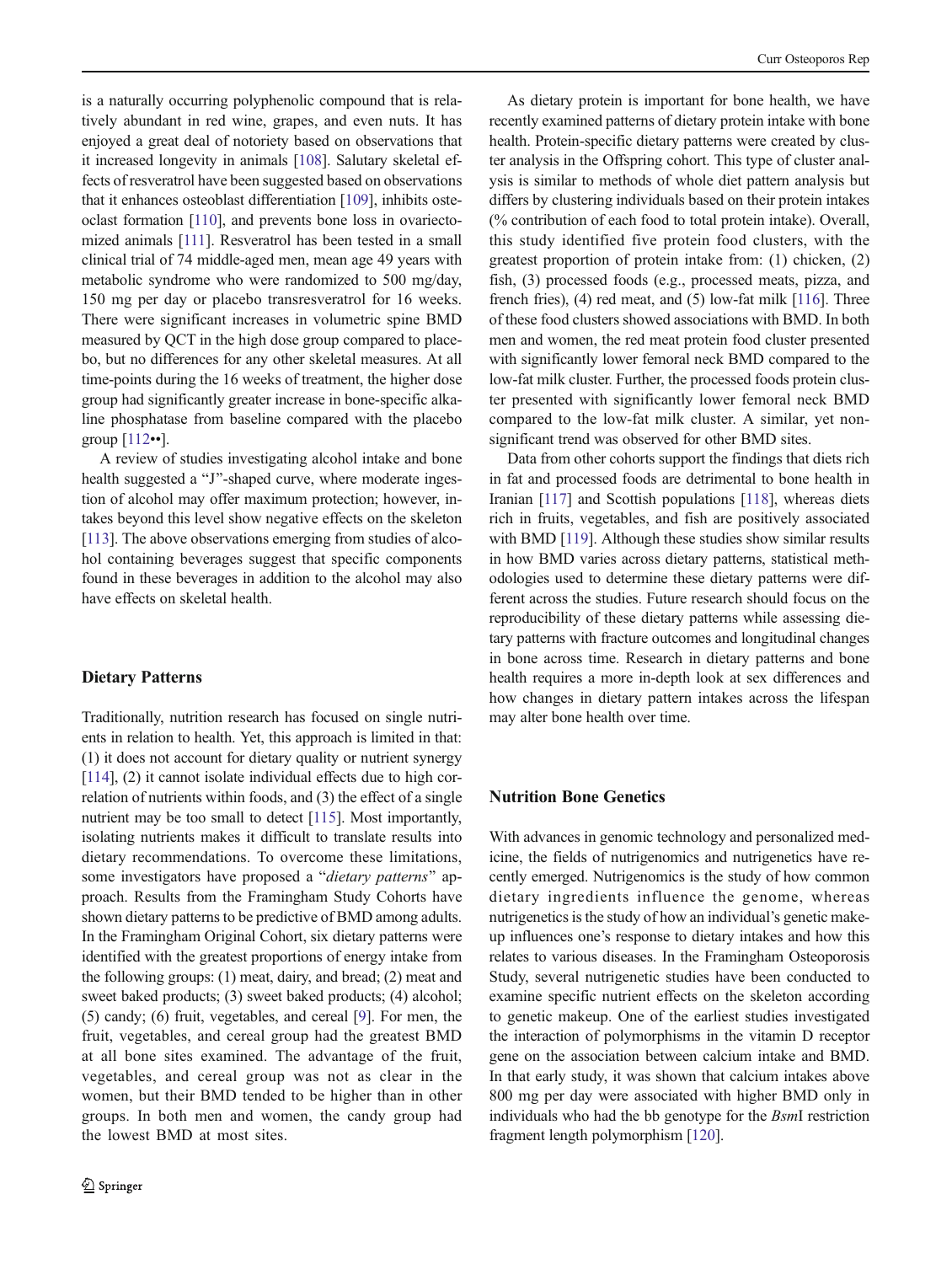is a naturally occurring polyphenolic compound that is relatively abundant in red wine, grapes, and even nuts. It has enjoyed a great deal of notoriety based on observations that it increased longevity in animals [[108](#page-10-0)]. Salutary skeletal effects of resveratrol have been suggested based on observations that it enhances osteoblast differentiation [\[109\]](#page-10-0), inhibits osteoclast formation [\[110\]](#page-10-0), and prevents bone loss in ovariectomized animals [[111\]](#page-10-0). Resveratrol has been tested in a small clinical trial of 74 middle-aged men, mean age 49 years with metabolic syndrome who were randomized to 500 mg/day, 150 mg per day or placebo transresveratrol for 16 weeks. There were significant increases in volumetric spine BMD measured by QCT in the high dose group compared to placebo, but no differences for any other skeletal measures. At all time-points during the 16 weeks of treatment, the higher dose group had significantly greater increase in bone-specific alkaline phosphatase from baseline compared with the placebo group [[112](#page-10-0)••].

A review of studies investigating alcohol intake and bone health suggested a "J"-shaped curve, where moderate ingestion of alcohol may offer maximum protection; however, intakes beyond this level show negative effects on the skeleton [\[113](#page-10-0)]. The above observations emerging from studies of alcohol containing beverages suggest that specific components found in these beverages in addition to the alcohol may also have effects on skeletal health.

## Dietary Patterns

Traditionally, nutrition research has focused on single nutrients in relation to health. Yet, this approach is limited in that: (1) it does not account for dietary quality or nutrient synergy [\[114](#page-11-0)], (2) it cannot isolate individual effects due to high correlation of nutrients within foods, and (3) the effect of a single nutrient may be too small to detect [\[115](#page-11-0)]. Most importantly, isolating nutrients makes it difficult to translate results into dietary recommendations. To overcome these limitations, some investigators have proposed a "dietary patterns" approach. Results from the Framingham Study Cohorts have shown dietary patterns to be predictive of BMD among adults. In the Framingham Original Cohort, six dietary patterns were identified with the greatest proportions of energy intake from the following groups: (1) meat, dairy, and bread; (2) meat and sweet baked products; (3) sweet baked products; (4) alcohol; (5) candy; (6) fruit, vegetables, and cereal [\[9](#page-8-0)]. For men, the fruit, vegetables, and cereal group had the greatest BMD at all bone sites examined. The advantage of the fruit, vegetables, and cereal group was not as clear in the women, but their BMD tended to be higher than in other groups. In both men and women, the candy group had the lowest BMD at most sites.

As dietary protein is important for bone health, we have recently examined patterns of dietary protein intake with bone health. Protein-specific dietary patterns were created by cluster analysis in the Offspring cohort. This type of cluster analysis is similar to methods of whole diet pattern analysis but differs by clustering individuals based on their protein intakes (% contribution of each food to total protein intake). Overall, this study identified five protein food clusters, with the greatest proportion of protein intake from: (1) chicken, (2) fish, (3) processed foods (e.g., processed meats, pizza, and french fries), (4) red meat, and (5) low-fat milk [[116](#page-11-0)]. Three of these food clusters showed associations with BMD. In both men and women, the red meat protein food cluster presented with significantly lower femoral neck BMD compared to the low-fat milk cluster. Further, the processed foods protein cluster presented with significantly lower femoral neck BMD compared to the low-fat milk cluster. A similar, yet nonsignificant trend was observed for other BMD sites.

Data from other cohorts support the findings that diets rich in fat and processed foods are detrimental to bone health in Iranian [\[117\]](#page-11-0) and Scottish populations [[118](#page-11-0)], whereas diets rich in fruits, vegetables, and fish are positively associated with BMD [[119](#page-11-0)]. Although these studies show similar results in how BMD varies across dietary patterns, statistical methodologies used to determine these dietary patterns were different across the studies. Future research should focus on the reproducibility of these dietary patterns while assessing dietary patterns with fracture outcomes and longitudinal changes in bone across time. Research in dietary patterns and bone health requires a more in-depth look at sex differences and how changes in dietary pattern intakes across the lifespan may alter bone health over time.

# Nutrition Bone Genetics

With advances in genomic technology and personalized medicine, the fields of nutrigenomics and nutrigenetics have recently emerged. Nutrigenomics is the study of how common dietary ingredients influence the genome, whereas nutrigenetics is the study of how an individual's genetic makeup influences one's response to dietary intakes and how this relates to various diseases. In the Framingham Osteoporosis Study, several nutrigenetic studies have been conducted to examine specific nutrient effects on the skeleton according to genetic makeup. One of the earliest studies investigated the interaction of polymorphisms in the vitamin D receptor gene on the association between calcium intake and BMD. In that early study, it was shown that calcium intakes above 800 mg per day were associated with higher BMD only in individuals who had the bb genotype for the BsmI restriction fragment length polymorphism [[120\]](#page-11-0).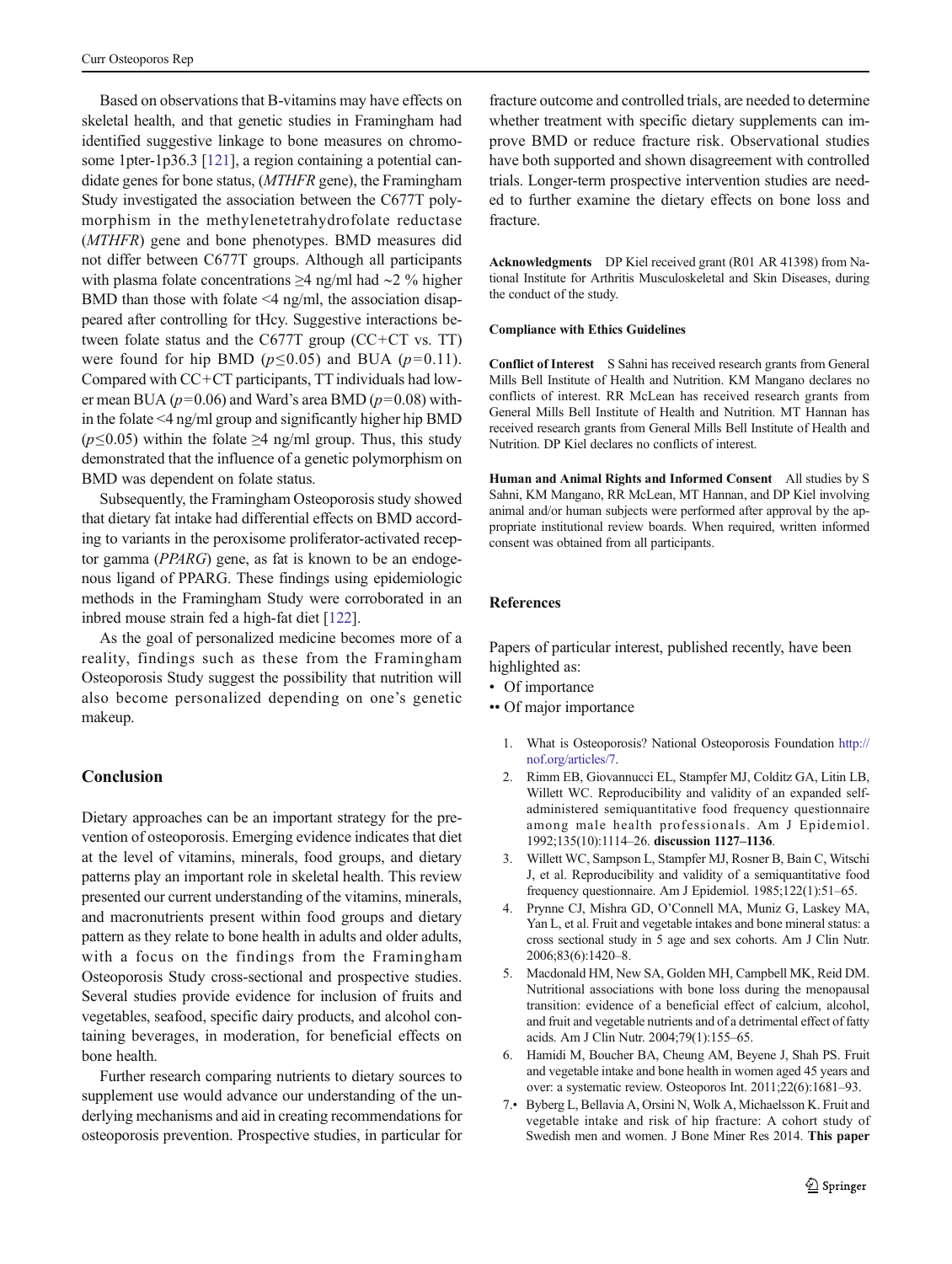<span id="page-7-0"></span>Based on observations that B-vitamins may have effects on skeletal health, and that genetic studies in Framingham had identified suggestive linkage to bone measures on chromosome 1pter-1p36.3 [\[121](#page-11-0)], a region containing a potential candidate genes for bone status, (MTHFR gene), the Framingham Study investigated the association between the C677T polymorphism in the methylenetetrahydrofolate reductase (MTHFR) gene and bone phenotypes. BMD measures did not differ between C677T groups. Although all participants with plasma folate concentrations ≥4 ng/ml had ∼2 % higher BMD than those with folate  $\leq$ 4 ng/ml, the association disappeared after controlling for tHcy. Suggestive interactions between folate status and the C677T group (CC+CT vs. TT) were found for hip BMD ( $p \le 0.05$ ) and BUA ( $p=0.11$ ). Compared with CC+CT participants, TT individuals had lower mean BUA ( $p=0.06$ ) and Ward's area BMD ( $p=0.08$ ) within the folate <4 ng/ml group and significantly higher hip BMD ( $p \le 0.05$ ) within the folate ≥4 ng/ml group. Thus, this study demonstrated that the influence of a genetic polymorphism on BMD was dependent on folate status.

Subsequently, the Framingham Osteoporosis study showed that dietary fat intake had differential effects on BMD according to variants in the peroxisome proliferator-activated receptor gamma (PPARG) gene, as fat is known to be an endogenous ligand of PPARG. These findings using epidemiologic methods in the Framingham Study were corroborated in an inbred mouse strain fed a high-fat diet [[122](#page-11-0)].

As the goal of personalized medicine becomes more of a reality, findings such as these from the Framingham Osteoporosis Study suggest the possibility that nutrition will also become personalized depending on one's genetic makeup.

## Conclusion

Dietary approaches can be an important strategy for the prevention of osteoporosis. Emerging evidence indicates that diet at the level of vitamins, minerals, food groups, and dietary patterns play an important role in skeletal health. This review presented our current understanding of the vitamins, minerals, and macronutrients present within food groups and dietary pattern as they relate to bone health in adults and older adults, with a focus on the findings from the Framingham Osteoporosis Study cross-sectional and prospective studies. Several studies provide evidence for inclusion of fruits and vegetables, seafood, specific dairy products, and alcohol containing beverages, in moderation, for beneficial effects on bone health.

Further research comparing nutrients to dietary sources to supplement use would advance our understanding of the underlying mechanisms and aid in creating recommendations for osteoporosis prevention. Prospective studies, in particular for

fracture outcome and controlled trials, are needed to determine whether treatment with specific dietary supplements can improve BMD or reduce fracture risk. Observational studies have both supported and shown disagreement with controlled trials. Longer-term prospective intervention studies are needed to further examine the dietary effects on bone loss and fracture.

Acknowledgments DP Kiel received grant (R01 AR 41398) from National Institute for Arthritis Musculoskeletal and Skin Diseases, during the conduct of the study.

#### Compliance with Ethics Guidelines

Conflict of Interest S Sahni has received research grants from General Mills Bell Institute of Health and Nutrition. KM Mangano declares no conflicts of interest. RR McLean has received research grants from General Mills Bell Institute of Health and Nutrition. MT Hannan has received research grants from General Mills Bell Institute of Health and Nutrition. DP Kiel declares no conflicts of interest.

Human and Animal Rights and Informed Consent All studies by S Sahni, KM Mangano, RR McLean, MT Hannan, and DP Kiel involving animal and/or human subjects were performed after approval by the appropriate institutional review boards. When required, written informed consent was obtained from all participants.

## References

Papers of particular interest, published recently, have been highlighted as:

- Of importance
- •• Of major importance
	- 1. What is Osteoporosis? National Osteoporosis Foundation [http://](http://nof.org/articles/7) [nof.org/articles/7](http://nof.org/articles/7).
	- 2. Rimm EB, Giovannucci EL, Stampfer MJ, Colditz GA, Litin LB, Willett WC. Reproducibility and validity of an expanded selfadministered semiquantitative food frequency questionnaire among male health professionals. Am J Epidemiol. 1992;135(10):1114–26. discussion 1127–1136.
	- 3. Willett WC, Sampson L, Stampfer MJ, Rosner B, Bain C, Witschi J, et al. Reproducibility and validity of a semiquantitative food frequency questionnaire. Am J Epidemiol. 1985;122(1):51–65.
	- 4. Prynne CJ, Mishra GD, O'Connell MA, Muniz G, Laskey MA, Yan L, et al. Fruit and vegetable intakes and bone mineral status: a cross sectional study in 5 age and sex cohorts. Am J Clin Nutr. 2006;83(6):1420–8.
	- 5. Macdonald HM, New SA, Golden MH, Campbell MK, Reid DM. Nutritional associations with bone loss during the menopausal transition: evidence of a beneficial effect of calcium, alcohol, and fruit and vegetable nutrients and of a detrimental effect of fatty acids. Am J Clin Nutr. 2004;79(1):155–65.
	- 6. Hamidi M, Boucher BA, Cheung AM, Beyene J, Shah PS. Fruit and vegetable intake and bone health in women aged 45 years and over: a systematic review. Osteoporos Int. 2011;22(6):1681–93.
	- 7.• Byberg L, Bellavia A, Orsini N, Wolk A, Michaelsson K. Fruit and vegetable intake and risk of hip fracture: A cohort study of Swedish men and women. J Bone Miner Res 2014. This paper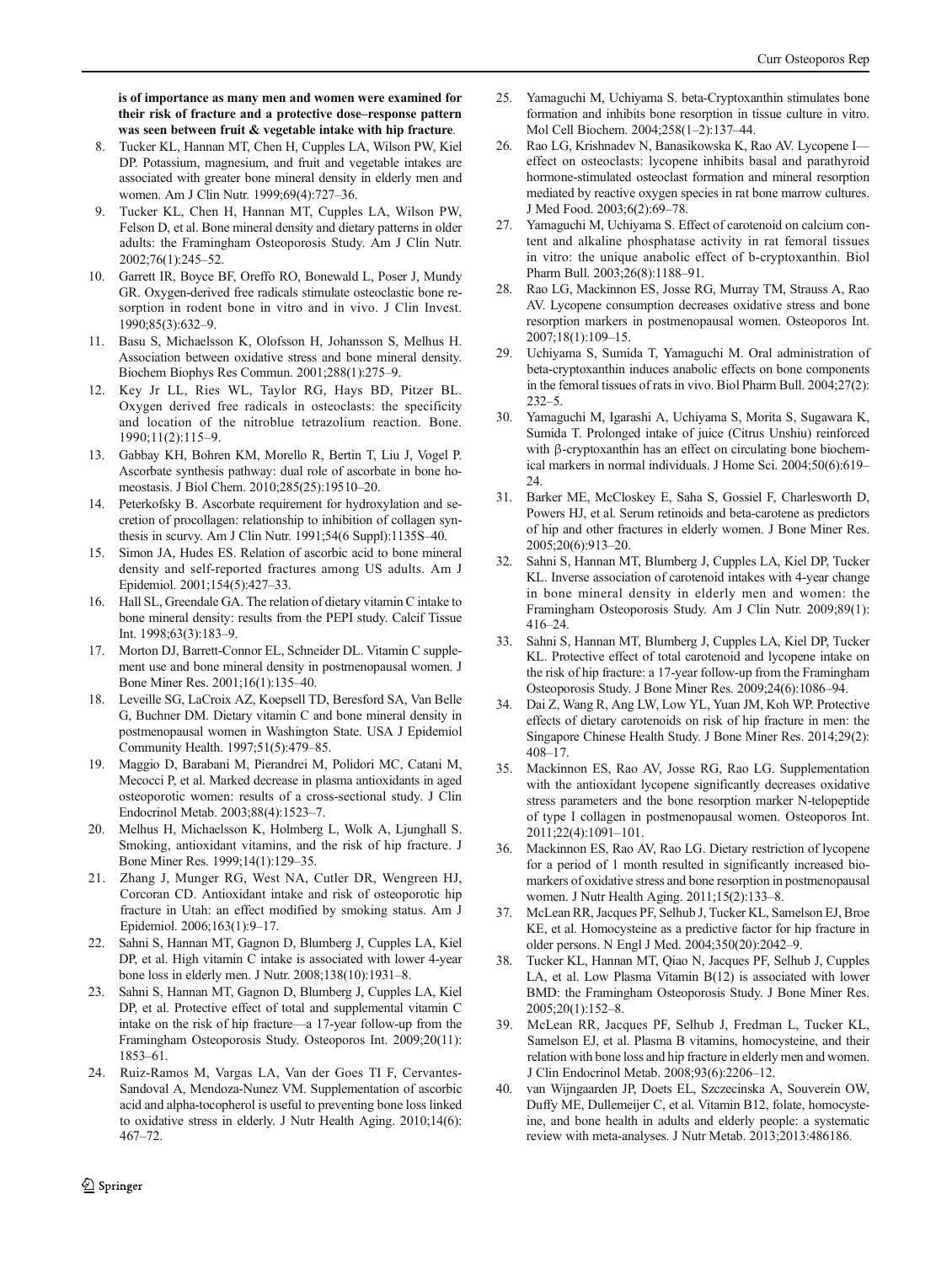<span id="page-8-0"></span>is of importance as many men and women were examined for their risk of fracture and a protective dose–response pattern was seen between fruit & vegetable intake with hip fracture.

- 8. Tucker KL, Hannan MT, Chen H, Cupples LA, Wilson PW, Kiel DP. Potassium, magnesium, and fruit and vegetable intakes are associated with greater bone mineral density in elderly men and women. Am J Clin Nutr. 1999;69(4):727–36.
- 9. Tucker KL, Chen H, Hannan MT, Cupples LA, Wilson PW, Felson D, et al. Bone mineral density and dietary patterns in older adults: the Framingham Osteoporosis Study. Am J Clin Nutr. 2002;76(1):245–52.
- 10. Garrett IR, Boyce BF, Oreffo RO, Bonewald L, Poser J, Mundy GR. Oxygen-derived free radicals stimulate osteoclastic bone resorption in rodent bone in vitro and in vivo. J Clin Invest. 1990;85(3):632–9.
- 11. Basu S, Michaelsson K, Olofsson H, Johansson S, Melhus H. Association between oxidative stress and bone mineral density. Biochem Biophys Res Commun. 2001;288(1):275–9.
- 12. Key Jr LL, Ries WL, Taylor RG, Hays BD, Pitzer BL. Oxygen derived free radicals in osteoclasts: the specificity and location of the nitroblue tetrazolium reaction. Bone. 1990;11(2):115–9.
- 13. Gabbay KH, Bohren KM, Morello R, Bertin T, Liu J, Vogel P. Ascorbate synthesis pathway: dual role of ascorbate in bone homeostasis. J Biol Chem. 2010;285(25):19510–20.
- 14. Peterkofsky B. Ascorbate requirement for hydroxylation and secretion of procollagen: relationship to inhibition of collagen synthesis in scurvy. Am J Clin Nutr. 1991;54(6 Suppl):1135S–40.
- 15. Simon JA, Hudes ES. Relation of ascorbic acid to bone mineral density and self-reported fractures among US adults. Am J Epidemiol. 2001;154(5):427–33.
- 16. Hall SL, Greendale GA. The relation of dietary vitamin C intake to bone mineral density: results from the PEPI study. Calcif Tissue Int. 1998;63(3):183–9.
- 17. Morton DJ, Barrett-Connor EL, Schneider DL. Vitamin C supplement use and bone mineral density in postmenopausal women. J Bone Miner Res. 2001;16(1):135–40.
- 18. Leveille SG, LaCroix AZ, Koepsell TD, Beresford SA, Van Belle G, Buchner DM. Dietary vitamin C and bone mineral density in postmenopausal women in Washington State. USA J Epidemiol Community Health. 1997;51(5):479–85.
- 19. Maggio D, Barabani M, Pierandrei M, Polidori MC, Catani M, Mecocci P, et al. Marked decrease in plasma antioxidants in aged osteoporotic women: results of a cross-sectional study. J Clin Endocrinol Metab. 2003;88(4):1523–7.
- 20. Melhus H, Michaelsson K, Holmberg L, Wolk A, Ljunghall S. Smoking, antioxidant vitamins, and the risk of hip fracture. J Bone Miner Res. 1999;14(1):129–35.
- 21. Zhang J, Munger RG, West NA, Cutler DR, Wengreen HJ, Corcoran CD. Antioxidant intake and risk of osteoporotic hip fracture in Utah: an effect modified by smoking status. Am J Epidemiol. 2006;163(1):9–17.
- 22. Sahni S, Hannan MT, Gagnon D, Blumberg J, Cupples LA, Kiel DP, et al. High vitamin C intake is associated with lower 4-year bone loss in elderly men. J Nutr. 2008;138(10):1931–8.
- 23. Sahni S, Hannan MT, Gagnon D, Blumberg J, Cupples LA, Kiel DP, et al. Protective effect of total and supplemental vitamin C intake on the risk of hip fracture—a 17-year follow-up from the Framingham Osteoporosis Study. Osteoporos Int. 2009;20(11): 1853–61.
- 24. Ruiz-Ramos M, Vargas LA, Van der Goes TI F, Cervantes-Sandoval A, Mendoza-Nunez VM. Supplementation of ascorbic acid and alpha-tocopherol is useful to preventing bone loss linked to oxidative stress in elderly. J Nutr Health Aging. 2010;14(6): 467–72.
- 25. Yamaguchi M, Uchiyama S. beta-Cryptoxanthin stimulates bone formation and inhibits bone resorption in tissue culture in vitro. Mol Cell Biochem. 2004;258(1–2):137–44.
- 26. Rao LG, Krishnadev N, Banasikowska K, Rao AV. Lycopene I effect on osteoclasts: lycopene inhibits basal and parathyroid hormone-stimulated osteoclast formation and mineral resorption mediated by reactive oxygen species in rat bone marrow cultures. J Med Food. 2003;6(2):69–78.
- 27. Yamaguchi M, Uchiyama S. Effect of carotenoid on calcium content and alkaline phosphatase activity in rat femoral tissues in vitro: the unique anabolic effect of b-cryptoxanthin. Biol Pharm Bull. 2003;26(8):1188–91.
- 28. Rao LG, Mackinnon ES, Josse RG, Murray TM, Strauss A, Rao AV. Lycopene consumption decreases oxidative stress and bone resorption markers in postmenopausal women. Osteoporos Int. 2007;18(1):109–15.
- 29. Uchiyama S, Sumida T, Yamaguchi M. Oral administration of beta-cryptoxanthin induces anabolic effects on bone components in the femoral tissues of rats in vivo. Biol Pharm Bull. 2004;27(2): 232–5.
- 30. Yamaguchi M, Igarashi A, Uchiyama S, Morita S, Sugawara K, Sumida T. Prolonged intake of juice (Citrus Unshiu) reinforced with β-cryptoxanthin has an effect on circulating bone biochemical markers in normal individuals. J Home Sci. 2004;50(6):619– 24.
- 31. Barker ME, McCloskey E, Saha S, Gossiel F, Charlesworth D, Powers HJ, et al. Serum retinoids and beta-carotene as predictors of hip and other fractures in elderly women. J Bone Miner Res. 2005;20(6):913–20.
- 32. Sahni S, Hannan MT, Blumberg J, Cupples LA, Kiel DP, Tucker KL. Inverse association of carotenoid intakes with 4-year change in bone mineral density in elderly men and women: the Framingham Osteoporosis Study. Am J Clin Nutr. 2009;89(1): 416–24.
- 33. Sahni S, Hannan MT, Blumberg J, Cupples LA, Kiel DP, Tucker KL. Protective effect of total carotenoid and lycopene intake on the risk of hip fracture: a 17-year follow-up from the Framingham Osteoporosis Study. J Bone Miner Res. 2009;24(6):1086–94.
- 34. Dai Z, Wang R, Ang LW, Low YL, Yuan JM, Koh WP. Protective effects of dietary carotenoids on risk of hip fracture in men: the Singapore Chinese Health Study. J Bone Miner Res. 2014;29(2): 408–17.
- 35. Mackinnon ES, Rao AV, Josse RG, Rao LG. Supplementation with the antioxidant lycopene significantly decreases oxidative stress parameters and the bone resorption marker N-telopeptide of type I collagen in postmenopausal women. Osteoporos Int. 2011;22(4):1091–101.
- 36. Mackinnon ES, Rao AV, Rao LG. Dietary restriction of lycopene for a period of 1 month resulted in significantly increased biomarkers of oxidative stress and bone resorption in postmenopausal women. J Nutr Health Aging. 2011;15(2):133–8.
- 37. McLean RR, Jacques PF, Selhub J, Tucker KL, Samelson EJ, Broe KE, et al. Homocysteine as a predictive factor for hip fracture in older persons. N Engl J Med. 2004;350(20):2042–9.
- 38. Tucker KL, Hannan MT, Qiao N, Jacques PF, Selhub J, Cupples LA, et al. Low Plasma Vitamin B(12) is associated with lower BMD: the Framingham Osteoporosis Study. J Bone Miner Res. 2005;20(1):152–8.
- 39. McLean RR, Jacques PF, Selhub J, Fredman L, Tucker KL, Samelson EJ, et al. Plasma B vitamins, homocysteine, and their relation with bone loss and hip fracture in elderly men and women. J Clin Endocrinol Metab. 2008;93(6):2206–12.
- 40. van Wijngaarden JP, Doets EL, Szczecinska A, Souverein OW, Duffy ME, Dullemeijer C, et al. Vitamin B12, folate, homocysteine, and bone health in adults and elderly people: a systematic review with meta-analyses. J Nutr Metab. 2013;2013:486186.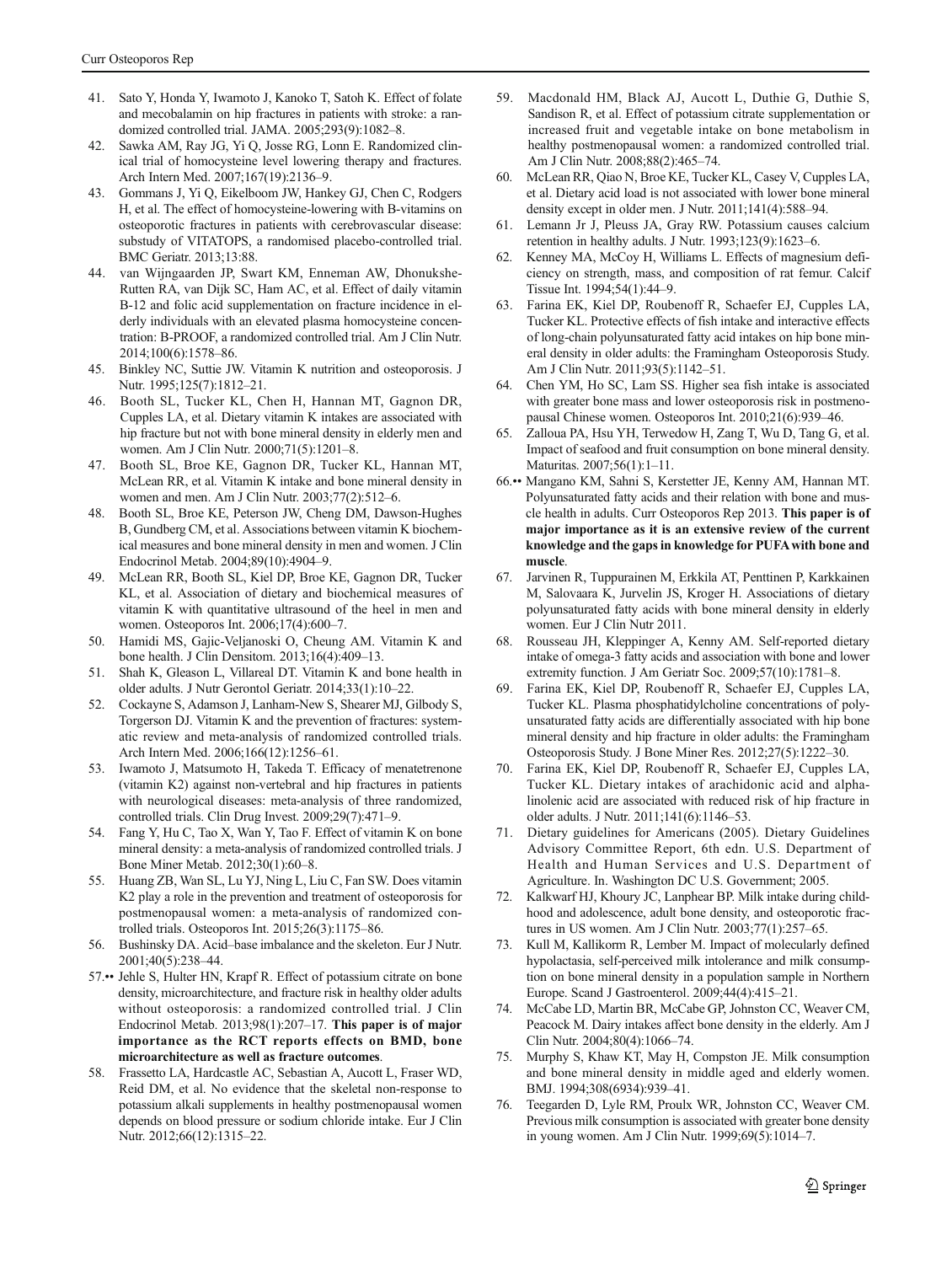- <span id="page-9-0"></span>41. Sato Y, Honda Y, Iwamoto J, Kanoko T, Satoh K. Effect of folate and mecobalamin on hip fractures in patients with stroke: a randomized controlled trial. JAMA. 2005;293(9):1082–8.
- 42. Sawka AM, Ray JG, Yi Q, Josse RG, Lonn E. Randomized clinical trial of homocysteine level lowering therapy and fractures. Arch Intern Med. 2007;167(19):2136–9.
- 43. Gommans J, Yi Q, Eikelboom JW, Hankey GJ, Chen C, Rodgers H, et al. The effect of homocysteine-lowering with B-vitamins on osteoporotic fractures in patients with cerebrovascular disease: substudy of VITATOPS, a randomised placebo-controlled trial. BMC Geriatr. 2013;13:88.
- 44. van Wijngaarden JP, Swart KM, Enneman AW, Dhonukshe-Rutten RA, van Dijk SC, Ham AC, et al. Effect of daily vitamin B-12 and folic acid supplementation on fracture incidence in elderly individuals with an elevated plasma homocysteine concentration: B-PROOF, a randomized controlled trial. Am J Clin Nutr. 2014;100(6):1578–86.
- 45. Binkley NC, Suttie JW. Vitamin K nutrition and osteoporosis. J Nutr. 1995;125(7):1812–21.
- 46. Booth SL, Tucker KL, Chen H, Hannan MT, Gagnon DR, Cupples LA, et al. Dietary vitamin K intakes are associated with hip fracture but not with bone mineral density in elderly men and women. Am J Clin Nutr. 2000;71(5):1201–8.
- 47. Booth SL, Broe KE, Gagnon DR, Tucker KL, Hannan MT, McLean RR, et al. Vitamin K intake and bone mineral density in women and men. Am J Clin Nutr. 2003;77(2):512–6.
- 48. Booth SL, Broe KE, Peterson JW, Cheng DM, Dawson-Hughes B, Gundberg CM, et al. Associations between vitamin K biochemical measures and bone mineral density in men and women. J Clin Endocrinol Metab. 2004;89(10):4904–9.
- 49. McLean RR, Booth SL, Kiel DP, Broe KE, Gagnon DR, Tucker KL, et al. Association of dietary and biochemical measures of vitamin K with quantitative ultrasound of the heel in men and women. Osteoporos Int. 2006;17(4):600–7.
- 50. Hamidi MS, Gajic-Veljanoski O, Cheung AM. Vitamin K and bone health. J Clin Densitom. 2013;16(4):409–13.
- 51. Shah K, Gleason L, Villareal DT. Vitamin K and bone health in older adults. J Nutr Gerontol Geriatr. 2014;33(1):10–22.
- 52. Cockayne S, Adamson J, Lanham-New S, Shearer MJ, Gilbody S, Torgerson DJ. Vitamin K and the prevention of fractures: systematic review and meta-analysis of randomized controlled trials. Arch Intern Med. 2006;166(12):1256–61.
- 53. Iwamoto J, Matsumoto H, Takeda T. Efficacy of menatetrenone (vitamin K2) against non-vertebral and hip fractures in patients with neurological diseases: meta-analysis of three randomized, controlled trials. Clin Drug Invest. 2009;29(7):471–9.
- 54. Fang Y, Hu C, Tao X, Wan Y, Tao F. Effect of vitamin K on bone mineral density: a meta-analysis of randomized controlled trials. J Bone Miner Metab. 2012;30(1):60–8.
- 55. Huang ZB, Wan SL, Lu YJ, Ning L, Liu C, Fan SW. Does vitamin K2 play a role in the prevention and treatment of osteoporosis for postmenopausal women: a meta-analysis of randomized controlled trials. Osteoporos Int. 2015;26(3):1175–86.
- 56. Bushinsky DA. Acid–base imbalance and the skeleton. Eur J Nutr. 2001;40(5):238–44.
- 57.•• Jehle S, Hulter HN, Krapf R. Effect of potassium citrate on bone density, microarchitecture, and fracture risk in healthy older adults without osteoporosis: a randomized controlled trial. J Clin Endocrinol Metab.  $2013;98(1):207-17$ . This paper is of major importance as the RCT reports effects on BMD, bone microarchitecture as well as fracture outcomes.
- 58. Frassetto LA, Hardcastle AC, Sebastian A, Aucott L, Fraser WD, Reid DM, et al. No evidence that the skeletal non-response to potassium alkali supplements in healthy postmenopausal women depends on blood pressure or sodium chloride intake. Eur J Clin Nutr. 2012;66(12):1315–22.
- 59. Macdonald HM, Black AJ, Aucott L, Duthie G, Duthie S, Sandison R, et al. Effect of potassium citrate supplementation or increased fruit and vegetable intake on bone metabolism in healthy postmenopausal women: a randomized controlled trial. Am J Clin Nutr. 2008;88(2):465–74.
- 60. McLean RR, Qiao N, Broe KE, Tucker KL, Casey V, Cupples LA, et al. Dietary acid load is not associated with lower bone mineral density except in older men. J Nutr. 2011;141(4):588–94.
- 61. Lemann Jr J, Pleuss JA, Gray RW. Potassium causes calcium retention in healthy adults. J Nutr. 1993;123(9):1623–6.
- 62. Kenney MA, McCoy H, Williams L. Effects of magnesium deficiency on strength, mass, and composition of rat femur. Calcif Tissue Int. 1994;54(1):44–9.
- 63. Farina EK, Kiel DP, Roubenoff R, Schaefer EJ, Cupples LA, Tucker KL. Protective effects of fish intake and interactive effects of long-chain polyunsaturated fatty acid intakes on hip bone mineral density in older adults: the Framingham Osteoporosis Study. Am J Clin Nutr. 2011;93(5):1142–51.
- 64. Chen YM, Ho SC, Lam SS. Higher sea fish intake is associated with greater bone mass and lower osteoporosis risk in postmenopausal Chinese women. Osteoporos Int. 2010;21(6):939–46.
- 65. Zalloua PA, Hsu YH, Terwedow H, Zang T, Wu D, Tang G, et al. Impact of seafood and fruit consumption on bone mineral density. Maturitas. 2007;56(1):1–11.
- 66.•• Mangano KM, Sahni S, Kerstetter JE, Kenny AM, Hannan MT. Polyunsaturated fatty acids and their relation with bone and muscle health in adults. Curr Osteoporos Rep 2013. This paper is of major importance as it is an extensive review of the current knowledge and the gaps in knowledge for PUFAwith bone and muscle.
- 67. Jarvinen R, Tuppurainen M, Erkkila AT, Penttinen P, Karkkainen M, Salovaara K, Jurvelin JS, Kroger H. Associations of dietary polyunsaturated fatty acids with bone mineral density in elderly women. Eur J Clin Nutr 2011.
- 68. Rousseau JH, Kleppinger A, Kenny AM. Self-reported dietary intake of omega-3 fatty acids and association with bone and lower extremity function. J Am Geriatr Soc. 2009;57(10):1781–8.
- 69. Farina EK, Kiel DP, Roubenoff R, Schaefer EJ, Cupples LA, Tucker KL. Plasma phosphatidylcholine concentrations of polyunsaturated fatty acids are differentially associated with hip bone mineral density and hip fracture in older adults: the Framingham Osteoporosis Study. J Bone Miner Res. 2012;27(5):1222–30.
- 70. Farina EK, Kiel DP, Roubenoff R, Schaefer EJ, Cupples LA, Tucker KL. Dietary intakes of arachidonic acid and alphalinolenic acid are associated with reduced risk of hip fracture in older adults. J Nutr. 2011;141(6):1146–53.
- 71. Dietary guidelines for Americans (2005). Dietary Guidelines Advisory Committee Report, 6th edn. U.S. Department of Health and Human Services and U.S. Department of Agriculture. In. Washington DC U.S. Government; 2005.
- 72. Kalkwarf HJ, Khoury JC, Lanphear BP. Milk intake during childhood and adolescence, adult bone density, and osteoporotic fractures in US women. Am J Clin Nutr. 2003;77(1):257–65.
- 73. Kull M, Kallikorm R, Lember M. Impact of molecularly defined hypolactasia, self-perceived milk intolerance and milk consumption on bone mineral density in a population sample in Northern Europe. Scand J Gastroenterol. 2009;44(4):415–21.
- 74. McCabe LD, Martin BR, McCabe GP, Johnston CC, Weaver CM, Peacock M. Dairy intakes affect bone density in the elderly. Am J Clin Nutr. 2004;80(4):1066–74.
- 75. Murphy S, Khaw KT, May H, Compston JE. Milk consumption and bone mineral density in middle aged and elderly women. BMJ. 1994;308(6934):939–41.
- 76. Teegarden D, Lyle RM, Proulx WR, Johnston CC, Weaver CM. Previous milk consumption is associated with greater bone density in young women. Am J Clin Nutr. 1999;69(5):1014–7.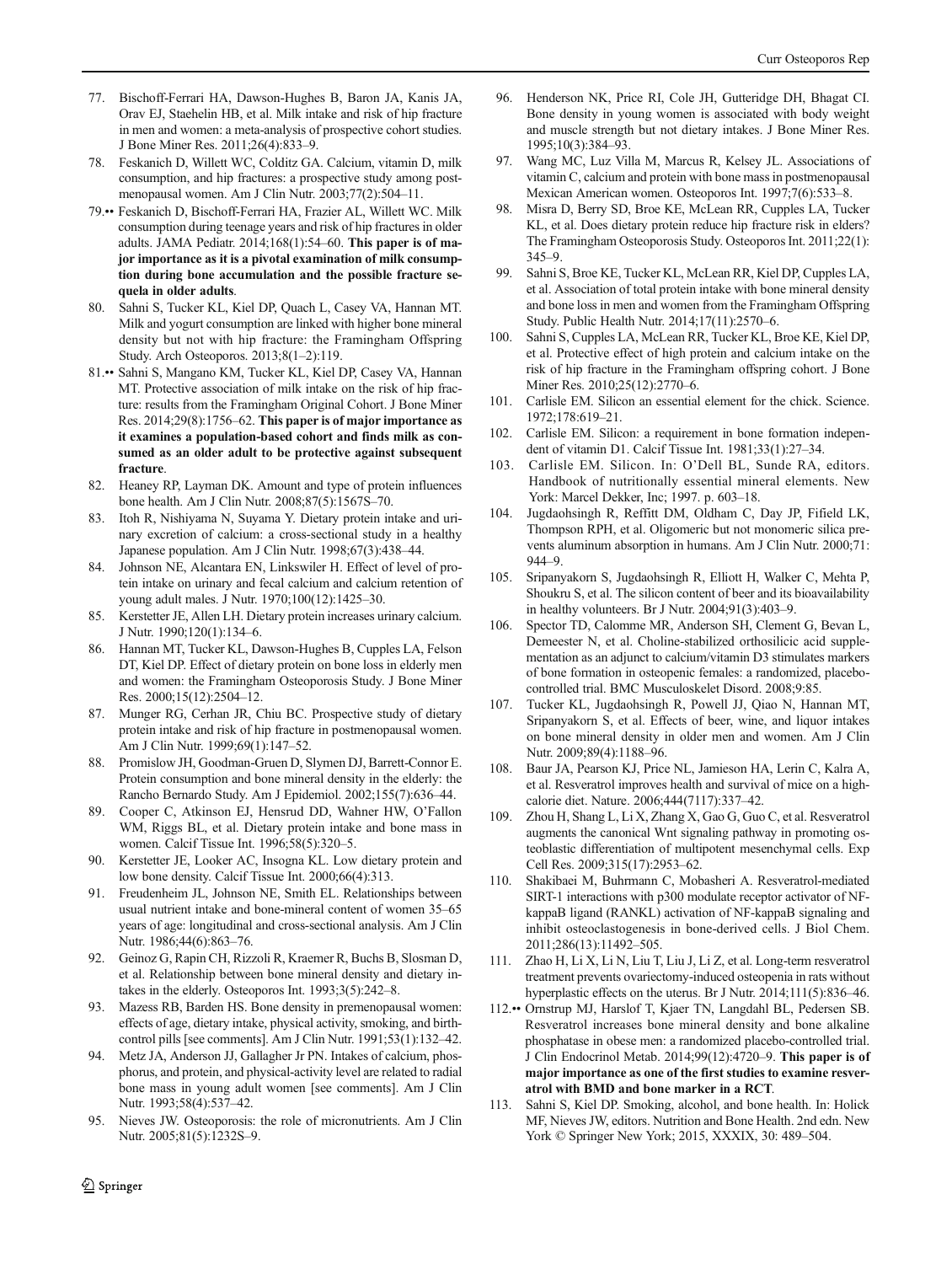- <span id="page-10-0"></span>77. Bischoff-Ferrari HA, Dawson-Hughes B, Baron JA, Kanis JA, Orav EJ, Staehelin HB, et al. Milk intake and risk of hip fracture in men and women: a meta-analysis of prospective cohort studies. J Bone Miner Res. 2011;26(4):833–9.
- 78. Feskanich D, Willett WC, Colditz GA. Calcium, vitamin D, milk consumption, and hip fractures: a prospective study among postmenopausal women. Am J Clin Nutr. 2003;77(2):504–11.
- 79.•• Feskanich D, Bischoff-Ferrari HA, Frazier AL, Willett WC. Milk consumption during teenage years and risk of hip fractures in older adults. JAMA Pediatr. 2014;168(1):54–60. This paper is of major importance as it is a pivotal examination of milk consumption during bone accumulation and the possible fracture sequela in older adults.
- 80. Sahni S, Tucker KL, Kiel DP, Quach L, Casey VA, Hannan MT. Milk and yogurt consumption are linked with higher bone mineral density but not with hip fracture: the Framingham Offspring Study. Arch Osteoporos. 2013;8(1–2):119.
- 81.•• Sahni S, Mangano KM, Tucker KL, Kiel DP, Casey VA, Hannan MT. Protective association of milk intake on the risk of hip fracture: results from the Framingham Original Cohort. J Bone Miner Res. 2014;29(8):1756–62. This paper is of major importance as it examines a population-based cohort and finds milk as consumed as an older adult to be protective against subsequent fracture.
- 82. Heaney RP, Layman DK. Amount and type of protein influences bone health. Am J Clin Nutr. 2008;87(5):1567S–70.
- 83. Itoh R, Nishiyama N, Suyama Y. Dietary protein intake and urinary excretion of calcium: a cross-sectional study in a healthy Japanese population. Am J Clin Nutr. 1998;67(3):438–44.
- 84. Johnson NE, Alcantara EN, Linkswiler H. Effect of level of protein intake on urinary and fecal calcium and calcium retention of young adult males. J Nutr. 1970;100(12):1425–30.
- 85. Kerstetter JE, Allen LH. Dietary protein increases urinary calcium. J Nutr. 1990;120(1):134–6.
- 86. Hannan MT, Tucker KL, Dawson-Hughes B, Cupples LA, Felson DT, Kiel DP. Effect of dietary protein on bone loss in elderly men and women: the Framingham Osteoporosis Study. J Bone Miner Res. 2000;15(12):2504–12.
- 87. Munger RG, Cerhan JR, Chiu BC. Prospective study of dietary protein intake and risk of hip fracture in postmenopausal women. Am J Clin Nutr. 1999;69(1):147–52.
- 88. Promislow JH, Goodman-Gruen D, Slymen DJ, Barrett-Connor E. Protein consumption and bone mineral density in the elderly: the Rancho Bernardo Study. Am J Epidemiol. 2002;155(7):636–44.
- 89. Cooper C, Atkinson EJ, Hensrud DD, Wahner HW, O'Fallon WM, Riggs BL, et al. Dietary protein intake and bone mass in women. Calcif Tissue Int. 1996;58(5):320–5.
- 90. Kerstetter JE, Looker AC, Insogna KL. Low dietary protein and low bone density. Calcif Tissue Int. 2000;66(4):313.
- 91. Freudenheim JL, Johnson NE, Smith EL. Relationships between usual nutrient intake and bone-mineral content of women 35–65 years of age: longitudinal and cross-sectional analysis. Am J Clin Nutr. 1986;44(6):863-76.
- 92. Geinoz G, Rapin CH, Rizzoli R, Kraemer R, Buchs B, Slosman D, et al. Relationship between bone mineral density and dietary intakes in the elderly. Osteoporos Int. 1993;3(5):242–8.
- Mazess RB, Barden HS. Bone density in premenopausal women: effects of age, dietary intake, physical activity, smoking, and birthcontrol pills [see comments]. Am J Clin Nutr. 1991;53(1):132–42.
- 94. Metz JA, Anderson JJ, Gallagher Jr PN. Intakes of calcium, phosphorus, and protein, and physical-activity level are related to radial bone mass in young adult women [see comments]. Am J Clin Nutr. 1993;58(4):537–42.
- 95. Nieves JW. Osteoporosis: the role of micronutrients. Am J Clin Nutr. 2005;81(5):1232S-9.
- 96. Henderson NK, Price RI, Cole JH, Gutteridge DH, Bhagat CI. Bone density in young women is associated with body weight and muscle strength but not dietary intakes. J Bone Miner Res. 1995;10(3):384–93.
- 97. Wang MC, Luz Villa M, Marcus R, Kelsey JL. Associations of vitamin C, calcium and protein with bone mass in postmenopausal Mexican American women. Osteoporos Int. 1997;7(6):533–8.
- Misra D, Berry SD, Broe KE, McLean RR, Cupples LA, Tucker KL, et al. Does dietary protein reduce hip fracture risk in elders? The Framingham Osteoporosis Study. Osteoporos Int. 2011;22(1): 345–9.
- 99. Sahni S, Broe KE, Tucker KL, McLean RR, Kiel DP, Cupples LA, et al. Association of total protein intake with bone mineral density and bone loss in men and women from the Framingham Offspring Study. Public Health Nutr. 2014;17(11):2570–6.
- 100. Sahni S, Cupples LA, McLean RR, Tucker KL, Broe KE, Kiel DP, et al. Protective effect of high protein and calcium intake on the risk of hip fracture in the Framingham offspring cohort. J Bone Miner Res. 2010;25(12):2770–6.
- 101. Carlisle EM. Silicon an essential element for the chick. Science. 1972;178:619–21.
- 102. Carlisle EM. Silicon: a requirement in bone formation independent of vitamin D1. Calcif Tissue Int. 1981;33(1):27–34.
- 103. Carlisle EM. Silicon. In: O'Dell BL, Sunde RA, editors. Handbook of nutritionally essential mineral elements. New York: Marcel Dekker, Inc; 1997. p. 603–18.
- 104. Jugdaohsingh R, Reffitt DM, Oldham C, Day JP, Fifield LK, Thompson RPH, et al. Oligomeric but not monomeric silica prevents aluminum absorption in humans. Am J Clin Nutr. 2000;71: 944–9.
- 105. Sripanyakorn S, Jugdaohsingh R, Elliott H, Walker C, Mehta P, Shoukru S, et al. The silicon content of beer and its bioavailability in healthy volunteers. Br J Nutr. 2004;91(3):403–9.
- 106. Spector TD, Calomme MR, Anderson SH, Clement G, Bevan L, Demeester N, et al. Choline-stabilized orthosilicic acid supplementation as an adjunct to calcium/vitamin D3 stimulates markers of bone formation in osteopenic females: a randomized, placebocontrolled trial. BMC Musculoskelet Disord. 2008;9:85.
- 107. Tucker KL, Jugdaohsingh R, Powell JJ, Qiao N, Hannan MT, Sripanyakorn S, et al. Effects of beer, wine, and liquor intakes on bone mineral density in older men and women. Am J Clin Nutr. 2009;89(4):1188–96.
- 108. Baur JA, Pearson KJ, Price NL, Jamieson HA, Lerin C, Kalra A, et al. Resveratrol improves health and survival of mice on a highcalorie diet. Nature. 2006;444(7117):337–42.
- 109. Zhou H, Shang L, Li X, Zhang X, Gao G, Guo C, et al. Resveratrol augments the canonical Wnt signaling pathway in promoting osteoblastic differentiation of multipotent mesenchymal cells. Exp Cell Res. 2009;315(17):2953–62.
- 110. Shakibaei M, Buhrmann C, Mobasheri A. Resveratrol-mediated SIRT-1 interactions with p300 modulate receptor activator of NFkappaB ligand (RANKL) activation of NF-kappaB signaling and inhibit osteoclastogenesis in bone-derived cells. J Biol Chem. 2011;286(13):11492–505.
- 111. Zhao H, Li X, Li N, Liu T, Liu J, Li Z, et al. Long-term resveratrol treatment prevents ovariectomy-induced osteopenia in rats without hyperplastic effects on the uterus. Br J Nutr. 2014;111(5):836–46.
- 112.•• Ornstrup MJ, Harslof T, Kjaer TN, Langdahl BL, Pedersen SB. Resveratrol increases bone mineral density and bone alkaline phosphatase in obese men: a randomized placebo-controlled trial. J Clin Endocrinol Metab. 2014;99(12):4720–9. This paper is of major importance as one of the first studies to examine resveratrol with BMD and bone marker in a RCT.
- 113. Sahni S, Kiel DP. Smoking, alcohol, and bone health. In: Holick MF, Nieves JW, editors. Nutrition and Bone Health. 2nd edn. New York © Springer New York; 2015, XXXIX, 30: 489–504.